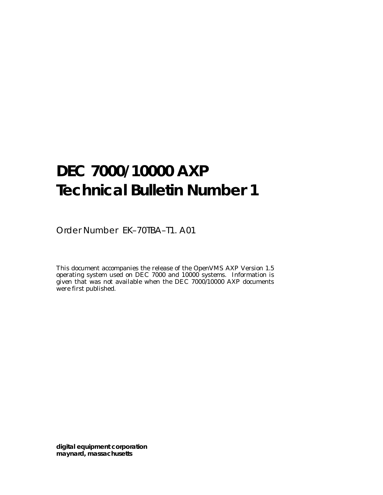# **DEC 7000/10000 AXP Technical Bulletin Number 1**

Order Number EK–70TBA–T1. A01

This document accompanies the release of the OpenVMS AXP Version 1.5 operating system used on DEC 7000 and 10000 systems. Information is given that was not available when the DEC 7000/10000 AXP documents were first published.

**digital equipment corporation maynard, massachusetts**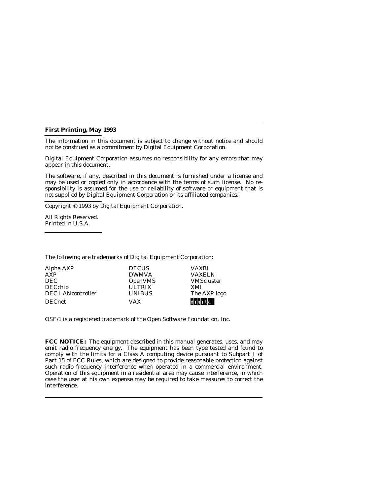#### **First Printing, May 1993**

The information in this document is subject to change without notice and should not be construed as a commitment by Digital Equipment Corporation.

Digital Equipment Corporation assumes no responsibility for any errors that may appear in this document.

The software, if any, described in this document is furnished under a license and may be used or copied only in accordance with the terms of such license. No responsibility is assumed for the use or reliability of software or equipment that is not supplied by Digital Equipment Corporation or its affiliated companies.

Copyright © 1993 by Digital Equipment Corporation.

All Rights Reserved. Printed in U.S.A.

The following are trademarks of Digital Equipment Corporation:

| Alpha AXP                | <b>DECUS</b>   | <b>VAXBI</b>      |
|--------------------------|----------------|-------------------|
| AXP                      | <b>DWMVA</b>   | <b>VAXELN</b>     |
| <b>DEC</b>               | <b>OpenVMS</b> | <b>VMScluster</b> |
| <b>DECchip</b>           | <b>ULTRIX</b>  | XMI               |
| <b>DEC LANcontroller</b> | <b>UNIBUS</b>  | The AXP logo      |
| <b>DECnet</b>            | <b>VAX</b>     | digital           |

OSF/1 is a registered trademark of the Open Software Foundation, Inc.

**FCC NOTICE:** The equipment described in this manual generates, uses, and may emit radio frequency energy. The equipment has been type tested and found to comply with the limits for a Class A computing device pursuant to Subpart J of Part 15 of FCC Rules, which are designed to provide reasonable protection against such radio frequency interference when operated in a commercial environment. Operation of this equipment in a residential area may cause interference, in which case the user at his own expense may be required to take measures to correct the interference.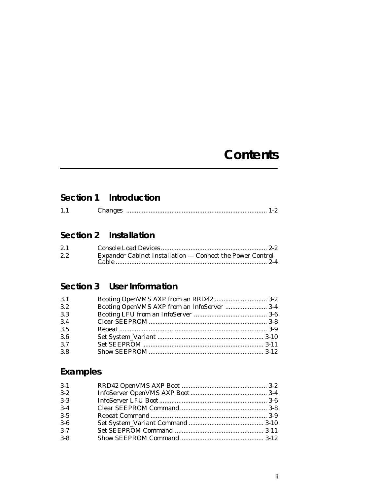## **Contents**

## **Section 1 Introduction**

| Changes |  |  |  |
|---------|--|--|--|
|---------|--|--|--|

## **Section 2 Installation**

| 2.1 |                                                           |
|-----|-----------------------------------------------------------|
| 2.2 | Expander Cabinet Installation — Connect the Power Control |
|     |                                                           |

## **Section 3 User Information**

| 3.1 | Booting OpenVMS AXP from an RRD42  3-2      |  |
|-----|---------------------------------------------|--|
| 3.2 | Booting OpenVMS AXP from an InfoServer  3-4 |  |
| 3.3 |                                             |  |
| 3.4 |                                             |  |
| 3.5 |                                             |  |
| 3.6 |                                             |  |
| 3.7 |                                             |  |
| 3.8 |                                             |  |

## **Examples**

| $3-1$   |  |
|---------|--|
| $3 - 2$ |  |
| $3 - 3$ |  |
| $3-4$   |  |
| $3 - 5$ |  |
| $3-6$   |  |
| $3 - 7$ |  |
| $3 - 8$ |  |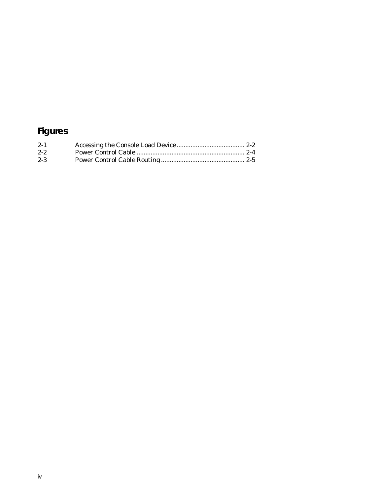## **Figures**

| $2 - 1$ |  |
|---------|--|
| $2 - 2$ |  |
| $2 - 3$ |  |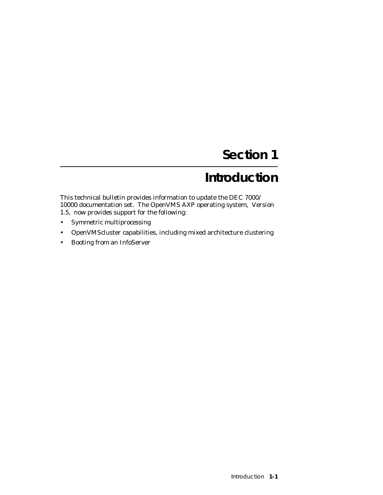# **Section 1**

# **Introduction**

This technical bulletin provides information to update the DEC 7000/ 10000 documentation set. The OpenVMS AXP operating system, Version 1.5, now provides support for the following:

- Symmetric multiprocessing
- OpenVMScluster capabilities, including mixed architecture clustering
- Booting from an InfoServer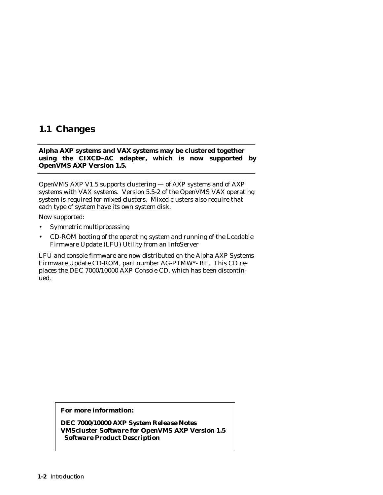### **1.1 Changes**

**Alpha AXP systems and VAX systems may be clustered together using the CIXCD–AC adapter, which is now supported by OpenVMS AXP Version 1.5.**

OpenVMS AXP V1.5 supports clustering — of AXP systems and of AXP systems with VAX systems. Version 5.5-2 of the OpenVMS VAX operating system is required for mixed clusters. Mixed clusters also require that each type of system have its own system disk.

Now supported:

- Symmetric multiprocessing
- CD-ROM booting of the operating system and running of the Loadable Firmware Update (LFU) Utility from an InfoServer

LFU and console firmware are now distributed on the Alpha AXP Systems Firmware Update CD-ROM, part number AG-PTMW\*- BE. This CD replaces the DEC 7000/10000 AXP Console CD, which has been discontinued.

#### **For more information:**

*DEC 7000/10000 AXP System Release Notes VMScluster Software for OpenVMS AXP Version 1.5 Software Product Description*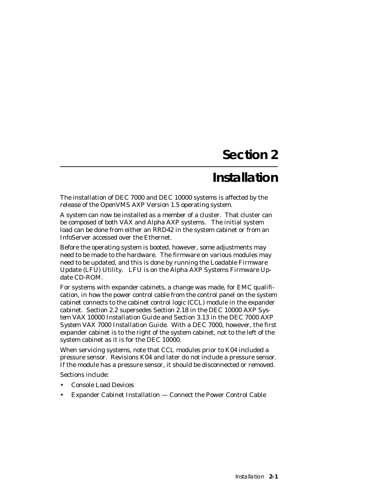# **Section 2**

## **Installation**

The installation of DEC 7000 and DEC 10000 systems is affected by the release of the OpenVMS AXP Version 1.5 operating system.

A system can now be installed as a member of a cluster. That cluster can be composed of both VAX and Alpha AXP systems. The initial system load can be done from either an RRD42 in the system cabinet or from an InfoServer accessed over the Ethernet.

Before the operating system is booted, however, some adjustments may need to be made to the hardware. The firmware on various modules may need to be updated, and this is done by running the Loadable Firmware Update (LFU) Utility. LFU is on the Alpha AXP Systems Firmware Update CD-ROM.

For systems with expander cabinets, a change was made, for EMC qualification, in how the power control cable from the control panel on the system cabinet connects to the cabinet control logic (CCL) module in the expander cabinet. Section 2.2 supersedes Section 2.18 in the *DEC 10000 AXP System VAX 10000 Installation Guide* and Section 3.13 in the *DEC 7000 AXP System VAX 7000 Installation Guide.* With a DEC 7000, however, the first expander cabinet is to the right of the system cabinet, not to the left of the system cabinet as it is for the DEC 10000.

When servicing systems, note that CCL modules prior to K04 included a pressure sensor. Revisions K04 and later *do not* include a pressure sensor. If the module has a pressure sensor, it should be disconnected or removed.

Sections include:

- Console Load Devices
- Expander Cabinet Installation Connect the Power Control Cable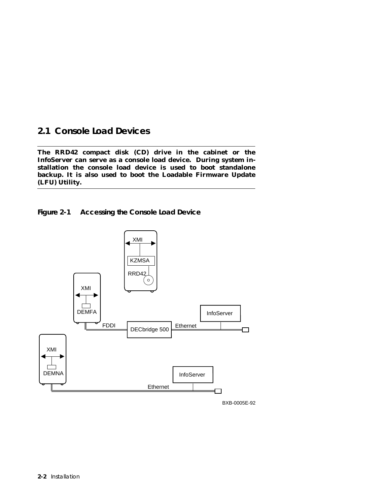### **2.1 Console Load Devices**

**The RRD42 compact disk (CD) drive in the cabinet or the InfoServer can serve as a console load device. During system installation the console load device is used to boot standalone backup. It is also used to boot the Loadable Firmware Update (LFU) Utility.**





BXB-0005E-92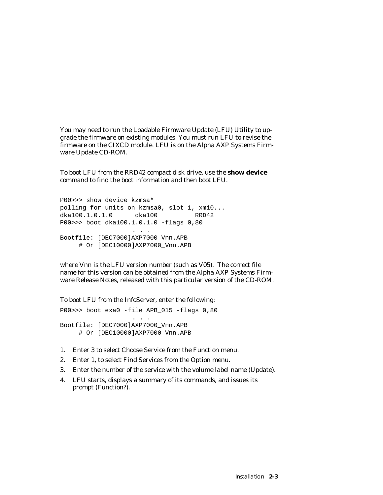You may need to run the Loadable Firmware Update (LFU) Utility to upgrade the firmware on existing modules. You must run LFU to revise the firmware on the CIXCD module. LFU is on the Alpha AXP Systems Firmware Update CD-ROM.

To boot LFU from the RRD42 compact disk drive, use the **show device** command to find the boot information and then boot LFU.

P00>>> show device kzmsa\* polling for units on kzmsa0, slot 1, xmi0... dka100.1.0.1.0 dka100 RRD42 P00>>> boot dka100.1.0.1.0 -flags 0,80 . . . Bootfile: [DEC7000]AXP7000\_Vnn.APB # Or [DEC10000]AXP7000\_Vnn.APB

where V*nn* is the LFU version number (such as V05). The correct file name for this version can be obtained from the Alpha AXP Systems Firmware Release Notes, released with this particular version of the CD-ROM.

To boot LFU from the InfoServer, enter the following:

P00>>> boot exa0 -file APB\_015 -flags 0,80 . . . Bootfile: [DEC7000]AXP7000\_Vnn.APB # Or [DEC10000]AXP7000\_Vnn.APB

- 1. Enter 3 to select Choose Service from the Function menu.
- 2. Enter 1, to select Find Services from the Option menu.
- 3. Enter the number of the service with the volume label name (Update).
- 4. LFU starts, displays a summary of its commands, and issues its prompt (Function?).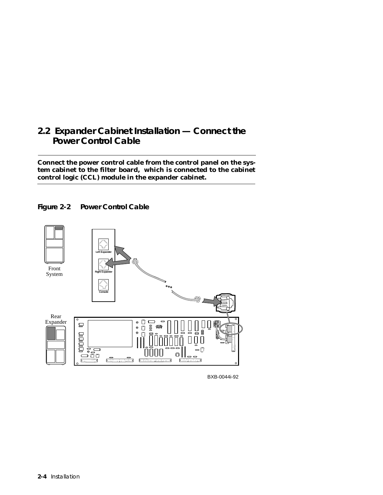## **2.2 Expander Cabinet Installation — Connect the Power Control Cable**

**Connect the power control cable from the control panel on the system cabinet to the filter board, which is connected to the cabinet control logic (CCL) module in the expander cabinet.**





BXB-0044i-92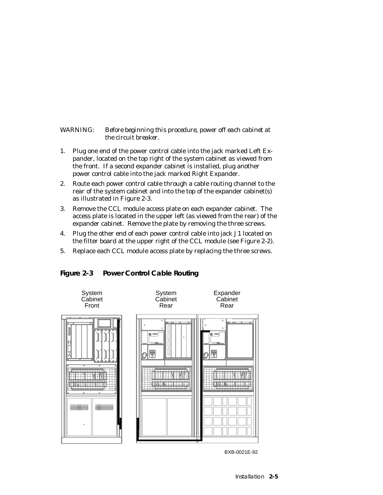#### *WARNING: Before beginning this procedure, power off each cabinet at the circuit breaker.*

- 1. Plug one end of the power control cable into the jack marked Left Expander, located on the top right of the system cabinet as viewed from the front. If a second expander cabinet is installed, plug another power control cable into the jack marked Right Expander.
- 2. Route each power control cable through a cable routing channel to the rear of the system cabinet and into the top of the expander cabinet(s) as illustrated in Figure 2-3.
- 3. Remove the CCL module access plate on each expander cabinet. The access plate is located in the upper left (as viewed from the rear) of the expander cabinet. Remove the plate by removing the three screws.
- 4. Plug the other end of each power control cable into jack J1 located on the filter board at the upper right of the CCL module (see Figure 2-2).
- 5. Replace each CCL module access plate by replacing the three screws.

**Figure 2-3 Power Control Cable Routing**



BXB-0021E-92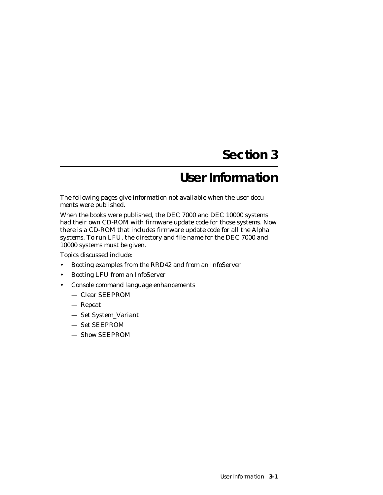# **Section 3**

# **User Information**

The following pages give information not available when the user documents were published.

When the books were published, the DEC 7000 and DEC 10000 systems had their own CD-ROM with firmware update code for those systems. Now there is a CD-ROM that includes firmware update code for *all* the Alpha systems. To run LFU, the directory and file name for the DEC 7000 and 10000 systems must be given.

Topics discussed include:

- Booting examples from the RRD42 and from an InfoServer
- Booting LFU from an InfoServer
- Console command language enhancements
	- Clear SEEPROM
	- Repeat
	- Set System\_Variant
	- Set SEEPROM
	- Show SEEPROM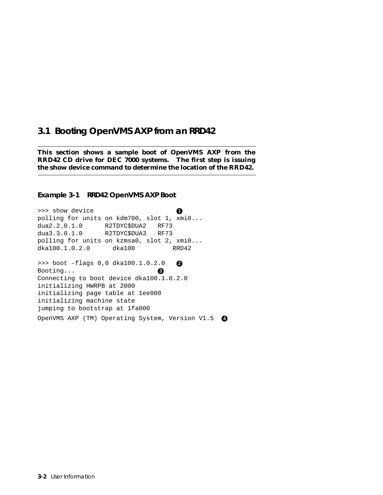### **3.1 Booting OpenVMS AXP from an RRD42**

**This section shows a sample boot of OpenVMS AXP from the RRD42 CD drive for DEC 7000 systems. The first step is issuing the show device command to determine the location of the RRD42.**

#### **Example 3-1 RRD42 OpenVMS AXP Boot**

>>> show device **1** polling for units on kdm700, slot 1, xmi0... dua2.2.0.1.0 R2TDYC\$DUA2 RF73 dua3.3.0.1.0 R2TDYC\$DUA3 RF73 polling for units on kzmsa0, slot 2, xmi0... dka100.1.0.2.0 dka100 RRD42 >>> boot -flags 0,0 dka100.1.0.2.0 **2** Booting... **3** Connecting to boot device dka100.1.0.2.0 initializing HWRPB at 2000 initializing page table at 1ee000 initializing machine state jumping to bootstrap at 1fa000 OpenVMS AXP (TM) Operating System, Version V1.5 **4**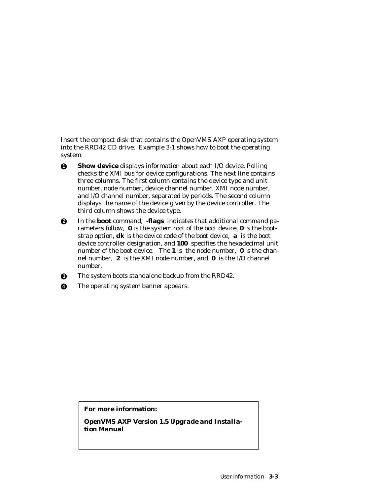Insert the compact disk that contains the OpenVMS AXP operating system into the RRD42 CD drive. Example 3-1 shows how to boot the operating system.

**1 Show device** displays information about each I/O device. Polling checks the XMI bus for device configurations. The next line contains three columns. The first column contains the device type and unit number, node number, device channel number, XMI node number, and I/O channel number, separated by periods. The second column displays the name of the device given by the device controller. The third column shows the device type.

**2** In the **boot** command, **-flags** indicates that additional command parameters follow, **0** is the system root of the boot device, **0** is the bootstrap option, **dk** is the device code of the boot device, **a** is the boot device controller designation, and **100** specifies the hexadecimal unit number of the boot device. The **1** is the node number, **0** is the channel number, **2** is the XMI node number, and **0** is the I/O channel number.

**3** The system boots standalone backup from the RRD42.

**4** The operating system banner appears.

#### **For more information:**

*OpenVMS AXP Version 1.5 Upgrade and Installation Manual*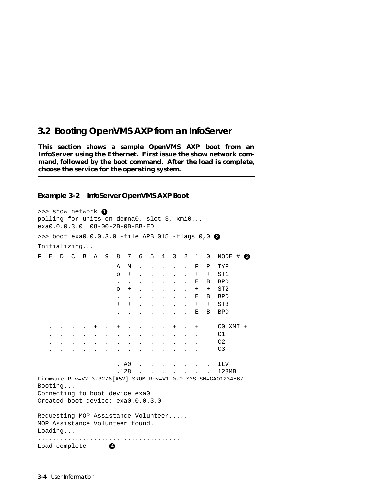### **3.2 Booting OpenVMS AXP from an InfoServer**

**This section shows a sample OpenVMS AXP boot from an InfoServer using the Ethernet. First issue the show network command, followed by the boot command. After the load is complete, choose the service for the operating system.**

#### **Example 3-2 InfoServer OpenVMS AXP Boot**

>>> show network 0 polling for units on demna0, slot 3, xmi0... exa0.0.0.3.0 08-00-2B-0B-BB-ED >>> boot exa0.0.0.3.0 -file APB\_015 -flags 0,0 **2** Initializing... F E D C B A 9 8 7 6 5 4 3 2 1 0 NODE # **3** A M . . . . . P P TYP o + . . . . . + + ST1 . . . . . . . E B BPD o + . . . . . + + ST2 . . . . . . . E B BPD + + . . . . . + + ST3 . . . . . . . E B BPD . . . . + . + . . . . + . + C0 XMI + . . . . . . . . . . . . . . C1 . . . . . . . . . . . . . . C2 . . . . . . . . . . . . . . C3 . A0 . . . . . . . ILV .128 . . . . . . . 128MB Firmware Rev=V2.3-3276[A52] SROM Rev=V1.0-0 SYS SN=GAO1234567 Booting... Connecting to boot device exa0 Created boot device: exa0.0.0.3.0 Requesting MOP Assistance Volunteer..... MOP Assistance Volunteer found. Loading... ...................................... Load complete!  $\bullet$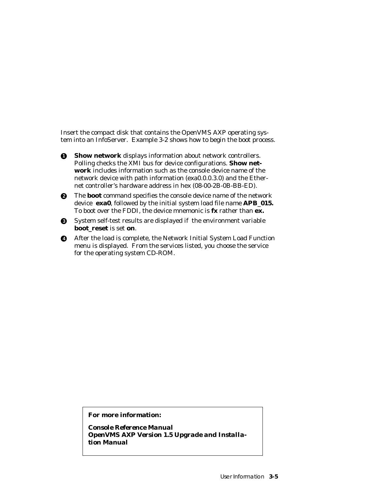Insert the compact disk that contains the OpenVMS AXP operating system into an InfoServer. Example 3-2 shows how to begin the boot process.

**1** Show network displays information about network controllers. Polling checks the XMI bus for device configurations. **Show network** includes information such as the console device name of the network device with path information (exa0.0.0.3.0) and the Ethernet controller's hardware address in hex (08-00-2B-0B-BB-ED).

**2** The **boot** command specifies the console device name of the network device **exa0**, followed by the initial system load file name **APB**\_**015.** To boot over the FDDI, the device mnemonic is **fx** rather than **ex.**

- **3** System self-test results are displayed if the environment variable **boot\_reset** is set **on**.
- **4** After the load is complete, the Network Initial System Load Function menu is displayed. From the services listed, you choose the service for the operating system CD-ROM.

**For more information:**

*Console Reference Manual OpenVMS AXP Version 1.5 Upgrade and Installation Manual*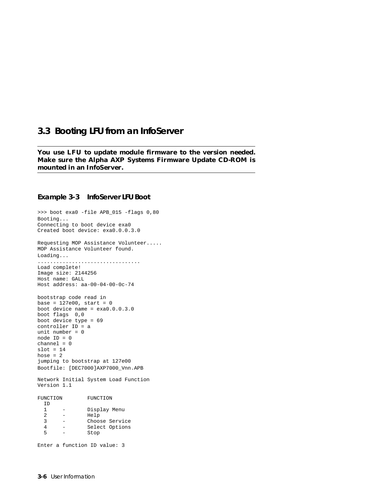#### **3.3 Booting LFU from an InfoServer**

**You use LFU to update module firmware to the version needed. Make sure the Alpha AXP Systems Firmware Update CD-ROM is mounted in an InfoServer.**

#### **Example 3-3 InfoServer LFU Boot**

```
>>> boot exa0 -file APB_015 -flags 0,80
Booting...
Connecting to boot device exa0
Created boot device: exa0.0.0.3.0
Requesting MOP Assistance Volunteer.....
MOP Assistance Volunteer found.
Loading...
.................................
Load complete!
Image size: 2144256
Host name: GALL
Host address: aa-00-04-00-0c-74
bootstrap code read in
base = 127e00, start = 0
boot device name = exa0.0.0.3.0
boot flags 0,0
boot device type = 69
controller ID = a
unit number = 0node ID = 0
channel = 0
slot = 14hose = 2jumping to bootstrap at 127e00
Bootfile: [DEC7000]AXP7000_Vnn.APB
Network Initial System Load Function
Version 1.1
FUNCTION FUNCTION
 ID<br>1
        - Display Menu
 2 - Help
 3 - Choose Service
   4 - Select Options
              Stop
Enter a function ID value: 3
```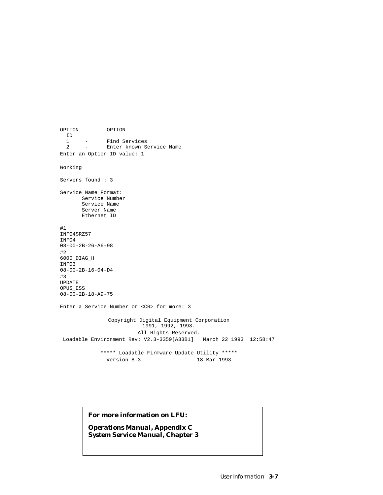OPTION OPTION ID 1 - Find Services<br>2 - Enter known Se Enter known Service Name Enter an Option ID value: 1 Working Servers found:: 3 Service Name Format: Service Number Service Name Server Name Ethernet ID #1 INFO4\$RZ57 INFO4 08-00-2B-26-A6-98 #2 6000\_DIAG\_H INFO3 08-00-2B-16-04-D4 #3 UPDATE OPUS\_ESS 08-00-2B-18-A9-75 Enter a Service Number or <CR> for more: 3 Copyright Digital Equipment Corporation 1991, 1992, 1993. All Rights Reserved. Loadable Environment Rev: V2.3-3359[A33B1] March 22 1993 12:58:47 \*\*\*\*\* Loadable Firmware Update Utility \*\*\*\*\* Version 8.3 18-Mar-1993

#### **For more information on LFU:**

*Operations Manual,* **Appendix C** *System Service Manual***, Chapter 3**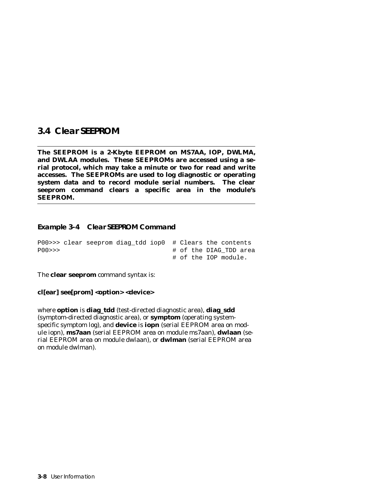#### **3.4 Clear SEEPROM**

**The SEEPROM is a 2-Kbyte EEPROM on MS7AA, IOP, DWLMA, and DWLAA modules. These SEEPROMs are accessed using a serial protocol, which may take a minute or two for read and write accesses. The SEEPROMs are used to log diagnostic or operating system data and to record module serial numbers. The clear seeprom command clears a specific area in the module's SEEPROM.** 

#### **Example 3-4 Clear SEEPROM Command**

|       | $P00 \gg 0$ clear seeprom diag tdd iop0 # Clears the contents |  |  |  |                      |                        |
|-------|---------------------------------------------------------------|--|--|--|----------------------|------------------------|
| PO0>> |                                                               |  |  |  |                      | # of the DIAG TDD area |
|       |                                                               |  |  |  | # of the IOP module. |                        |

The **clear seeprom** command syntax is:

**cl[ear] see[prom] <option> <device>**

where **option** is **diag\_tdd** (test-directed diagnostic area), **diag\_sdd** (symptom-directed diagnostic area), or **symptom** (operating systemspecific symptom log), and **device** is **iop***n* (serial EEPROM area on module iop*n*), **ms7aa***n* (serial EEPROM area on module ms7aa*n*), **dwlaa***n* (serial EEPROM area on module dwlaa*n*), or **dwlma***n* (serial EEPROM area on module dwlma*n*).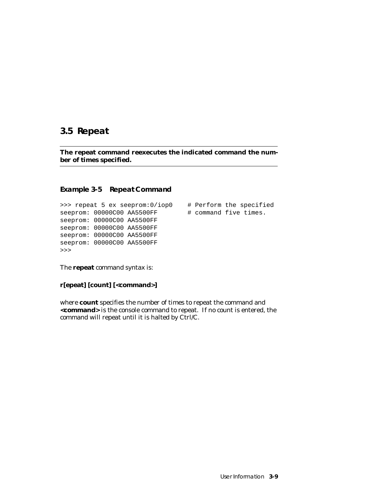### **3.5 Repeat**

**The repeat command reexecutes the indicated command the number of times specified.**

#### **Example 3-5 Repeat Command**

```
>>> repeat 5 ex seeprom:0/iop0 # Perform the specified
seeprom: 00000C00 AA5500FF # command five times.
seeprom: 00000C00 AA5500FF 
seeprom: 00000C00 AA5500FF 
seeprom: 00000C00 AA5500FF 
seeprom: 00000C00 AA5500FF
>>>
```
The **repeat** command syntax is:

**r[epeat] [count] [<command>]**

where **count** specifies the number of times to repeat the command and **<command>** is the console command to repeat. If no count is entered, the command will repeat until it is halted by Ctrl/C.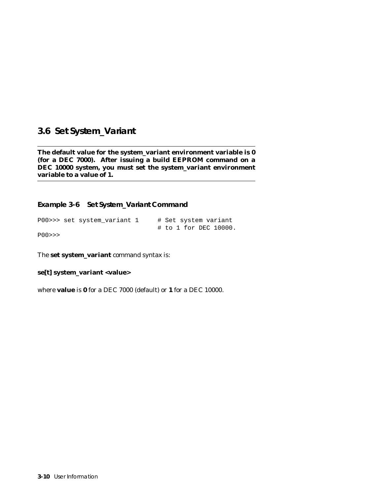## **3.6 Set System\_Variant**

**The default value for the system\_variant environment variable is 0 (for a DEC 7000). After issuing a build EEPROM command on a DEC 10000 system, you must set the system\_variant environment variable to a value of 1.**

**Example 3-6 Set System\_Variant Command**

|    |  | P00>>> set system variant 1 |  |  |  | # Set system variant  |
|----|--|-----------------------------|--|--|--|-----------------------|
| -- |  |                             |  |  |  | # to 1 for DEC 10000. |

P00>>>

The **set system\_variant** command syntax is:

**se[t] system\_variant <value>**

where **value** is **0** for a DEC 7000 (default) or **1** for a DEC 10000.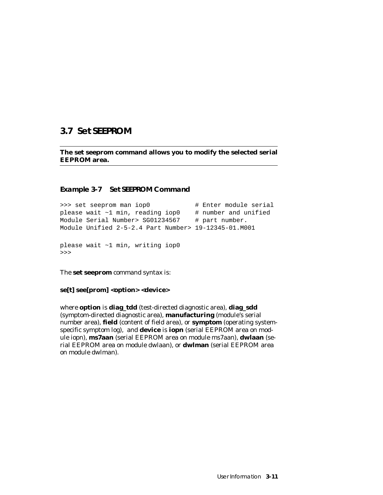### **3.7 Set SEEPROM**

**The set seeprom command allows you to modify the selected serial EEPROM area.**

#### **Example 3-7 Set SEEPROM Command**

```
>>> set seeprom man iop0 # Enter module serial
please wait ~1 min, reading iop0 # number and unified
Module Serial Number> SG01234567 # part number.
Module Unified 2-5-2.4 Part Number> 19-12345-01.M001
please wait ~1 min, writing iop0
>>>
```
The **set seeprom** command syntax is:

**se[t] see[prom] <option> <device>**

where **option** is **diag\_tdd** (test-directed diagnostic area), **diag\_sdd** (symptom-directed diagnostic area), **manufacturing** (module's serial number area), **field** (content of field area), or **symptom** (operating systemspecific symptom log), and **device** is **iop***n* (serial EEPROM area on module iop*n*), **ms7aa***n* (serial EEPROM area on module ms7aa*n*), **dwlaa***n* (serial EEPROM area on module dwlaa*n*), or **dwlma***n* (serial EEPROM area on module dwlma*n*).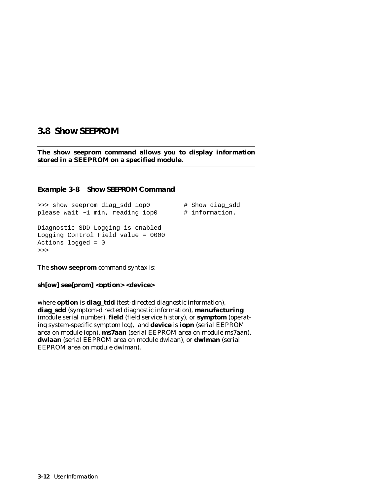### **3.8 Show SEEPROM**

**The show seeprom command allows you to display information stored in a SEEPROM on a specified module.**

#### **Example 3-8 Show SEEPROM Command**

>>> show seeprom diag\_sdd iop0 # Show diag\_sdd please wait  $\sim 1$  min, reading iop0  $\qquad$  # information. Diagnostic SDD Logging is enabled Logging Control Field value = 0000 Actions logged = 0 >>>

The **show seeprom** command syntax is:

**sh[ow] see[prom] <option> <device>**

where **option** is **diag\_tdd** (test-directed diagnostic information), **diag\_sdd** (symptom-directed diagnostic information), **manufacturing** (module serial number), **field** (field service history), or **symptom** (operating system-specific symptom log), and **device** is **iop***n* (serial EEPROM area on module iop*n*), **ms7aa***n* (serial EEPROM area on module ms7aa*n*), **dwlaa***n* (serial EEPROM area on module dwlaa*n*), or **dwlma***n* (serial EEPROM area on module dwlma*n*).